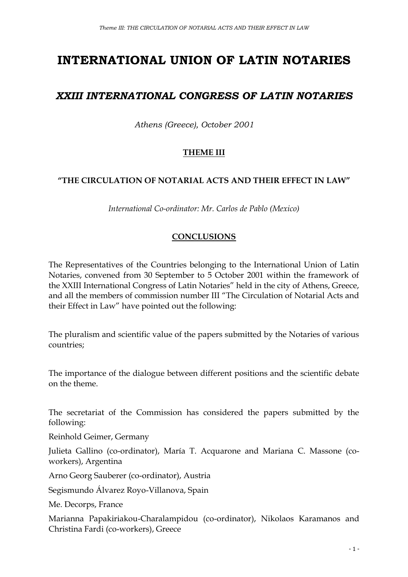# **INTERNATIONAL UNION OF LATIN NOTARIES**

## *XXIII INTERNATIONAL CONGRESS OF LATIN NOTARIES*

*Athens (Greece), October 2001*

### **THEME III**

#### **"THE CIRCULATION OF NOTARIAL ACTS AND THEIR EFFECT IN LAW"**

*International Co-ordinator: Mr. Carlos de Pablo (Mexico)*

#### **CONCLUSIONS**

The Representatives of the Countries belonging to the International Union of Latin Notaries, convened from 30 September to 5 October 2001 within the framework of the XXIII International Congress of Latin Notaries" held in the city of Athens, Greece, and all the members of commission number III "The Circulation of Notarial Acts and their Effect in Law" have pointed out the following:

The pluralism and scientific value of the papers submitted by the Notaries of various countries;

The importance of the dialogue between different positions and the scientific debate on the theme.

The secretariat of the Commission has considered the papers submitted by the following:

Reinhold Geimer, Germany

Julieta Gallino (co-ordinator), María T. Acquarone and Mariana C. Massone (coworkers), Argentina

Arno Georg Sauberer (co-ordinator), Austria

Segismundo Álvarez Royo-Villanova, Spain

Me. Decorps, France

Marianna Papakiriakou-Charalampidou (co-ordinator), Nikolaos Karamanos and Christina Fardi (co-workers), Greece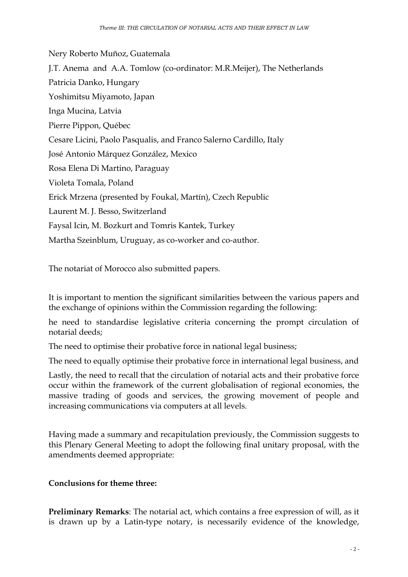Nery Roberto Muñoz, Guatemala J.T. Anema and A.A. Tomlow (co-ordinator: M.R.Meijer), The Netherlands Patricia Danko, Hungary Yoshimitsu Miyamoto, Japan Inga Mucina, Latvia Pierre Pippon, Québec Cesare Licini, Paolo Pasqualis, and Franco Salerno Cardillo, Italy José Antonio Márquez González, Mexico Rosa Elena Di Martino, Paraguay Violeta Tomala, Poland Erick Mrzena (presented by Foukal, Martín), Czech Republic Laurent M. J. Besso, Switzerland Faysal Icin, M. Bozkurt and Tomris Kantek, Turkey Martha Szeinblum, Uruguay, as co-worker and co-author.

The notariat of Morocco also submitted papers.

It is important to mention the significant similarities between the various papers and the exchange of opinions within the Commission regarding the following:

he need to standardise legislative criteria concerning the prompt circulation of notarial deeds;

The need to optimise their probative force in national legal business;

The need to equally optimise their probative force in international legal business, and

Lastly, the need to recall that the circulation of notarial acts and their probative force occur within the framework of the current globalisation of regional economies, the massive trading of goods and services, the growing movement of people and increasing communications via computers at all levels.

Having made a summary and recapitulation previously, the Commission suggests to this Plenary General Meeting to adopt the following final unitary proposal, with the amendments deemed appropriate:

#### **Conclusions for theme three:**

**Preliminary Remarks**: The notarial act, which contains a free expression of will, as it is drawn up by a Latin-type notary, is necessarily evidence of the knowledge,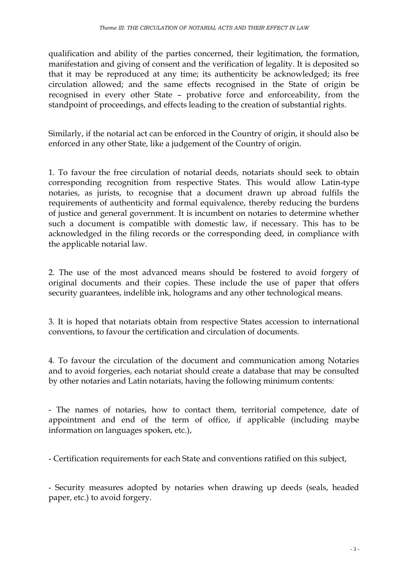qualification and ability of the parties concerned, their legitimation, the formation, manifestation and giving of consent and the verification of legality. It is deposited so that it may be reproduced at any time; its authenticity be acknowledged; its free circulation allowed; and the same effects recognised in the State of origin be recognised in every other State – probative force and enforceability, from the standpoint of proceedings, and effects leading to the creation of substantial rights.

Similarly, if the notarial act can be enforced in the Country of origin, it should also be enforced in any other State, like a judgement of the Country of origin.

1. To favour the free circulation of notarial deeds, notariats should seek to obtain corresponding recognition from respective States. This would allow Latin-type notaries, as jurists, to recognise that a document drawn up abroad fulfils the requirements of authenticity and formal equivalence, thereby reducing the burdens of justice and general government. It is incumbent on notaries to determine whether such a document is compatible with domestic law, if necessary. This has to be acknowledged in the filing records or the corresponding deed, in compliance with the applicable notarial law.

2. The use of the most advanced means should be fostered to avoid forgery of original documents and their copies. These include the use of paper that offers security guarantees, indelible ink, holograms and any other technological means.

3. It is hoped that notariats obtain from respective States accession to international conventions, to favour the certification and circulation of documents.

4. To favour the circulation of the document and communication among Notaries and to avoid forgeries, each notariat should create a database that may be consulted by other notaries and Latin notariats, having the following minimum contents:

- The names of notaries, how to contact them, territorial competence, date of appointment and end of the term of office, if applicable (including maybe information on languages spoken, etc.),

- Certification requirements for each State and conventions ratified on this subject,

- Security measures adopted by notaries when drawing up deeds (seals, headed paper, etc.) to avoid forgery.